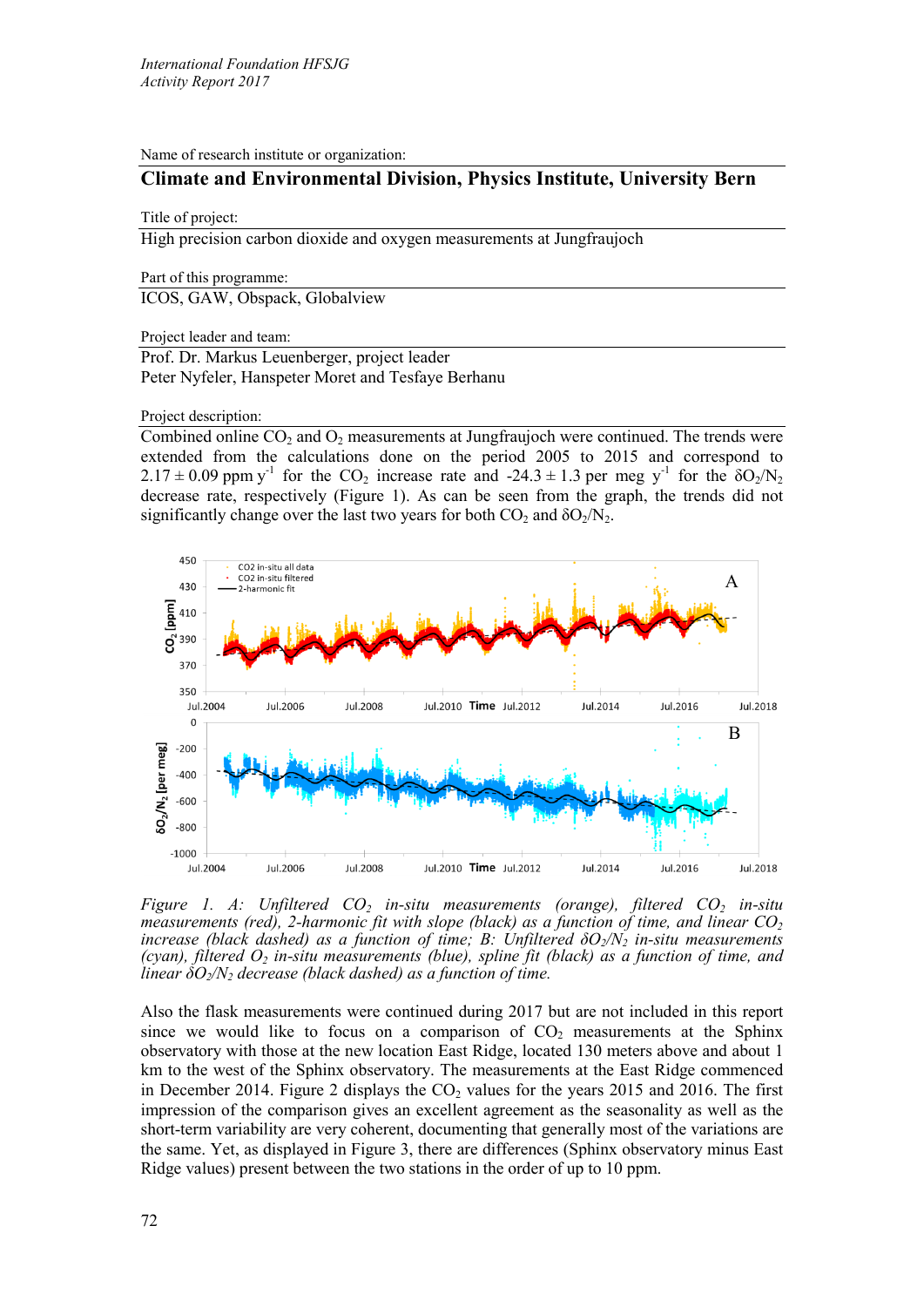Name of research institute or organization:

# **Climate and Environmental Division, Physics Institute, University Bern**

### Title of project:

High precision carbon dioxide and oxygen measurements at Jungfraujoch

Part of this programme:

ICOS, GAW, Obspack, Globalview

Project leader and team:

Prof. Dr. Markus Leuenberger, project leader Peter Nyfeler, Hanspeter Moret and Tesfaye Berhanu

#### Project description:

Combined online  $CO<sub>2</sub>$  and  $O<sub>2</sub>$  measurements at Jungfraujoch were continued. The trends were extended from the calculations done on the period 2005 to 2015 and correspond to  $2.17 \pm 0.09$  ppm y<sup>-1</sup> for the CO<sub>2</sub> increase rate and -24.3  $\pm$  1.3 per meg y<sup>-1</sup> for the  $\delta O_2/N_2$ decrease rate, respectively (Figure 1). As can be seen from the graph, the trends did not significantly change over the last two years for both  $CO_2$  and  $\delta O_2/N_2$ .



*Figure 1. A: Unfiltered CO<sub>2</sub> in-situ measurements (orange), filtered CO<sub>2</sub> in-situ measurements (red), 2-harmonic fit with slope (black) as a function of time, and linear CO<sub>2</sub> increase (black dashed) as a function of time; B: Unfiltered*  $\delta O_2/N_2$  *in-situ measurements (cyan), filtered O2 in-situ measurements (blue), spline fit (black) as a function of time, and linear*  $\delta O_2/N_2$  *decrease (black dashed) as a function of time.* 

Also the flask measurements were continued during 2017 but are not included in this report since we would like to focus on a comparison of  $CO<sub>2</sub>$  measurements at the Sphinx observatory with those at the new location East Ridge, located 130 meters above and about 1 km to the west of the Sphinx observatory. The measurements at the East Ridge commenced in December 2014. Figure 2 displays the  $CO<sub>2</sub>$  values for the years 2015 and 2016. The first impression of the comparison gives an excellent agreement as the seasonality as well as the short-term variability are very coherent, documenting that generally most of the variations are the same. Yet, as displayed in Figure 3, there are differences (Sphinx observatory minus East Ridge values) present between the two stations in the order of up to 10 ppm.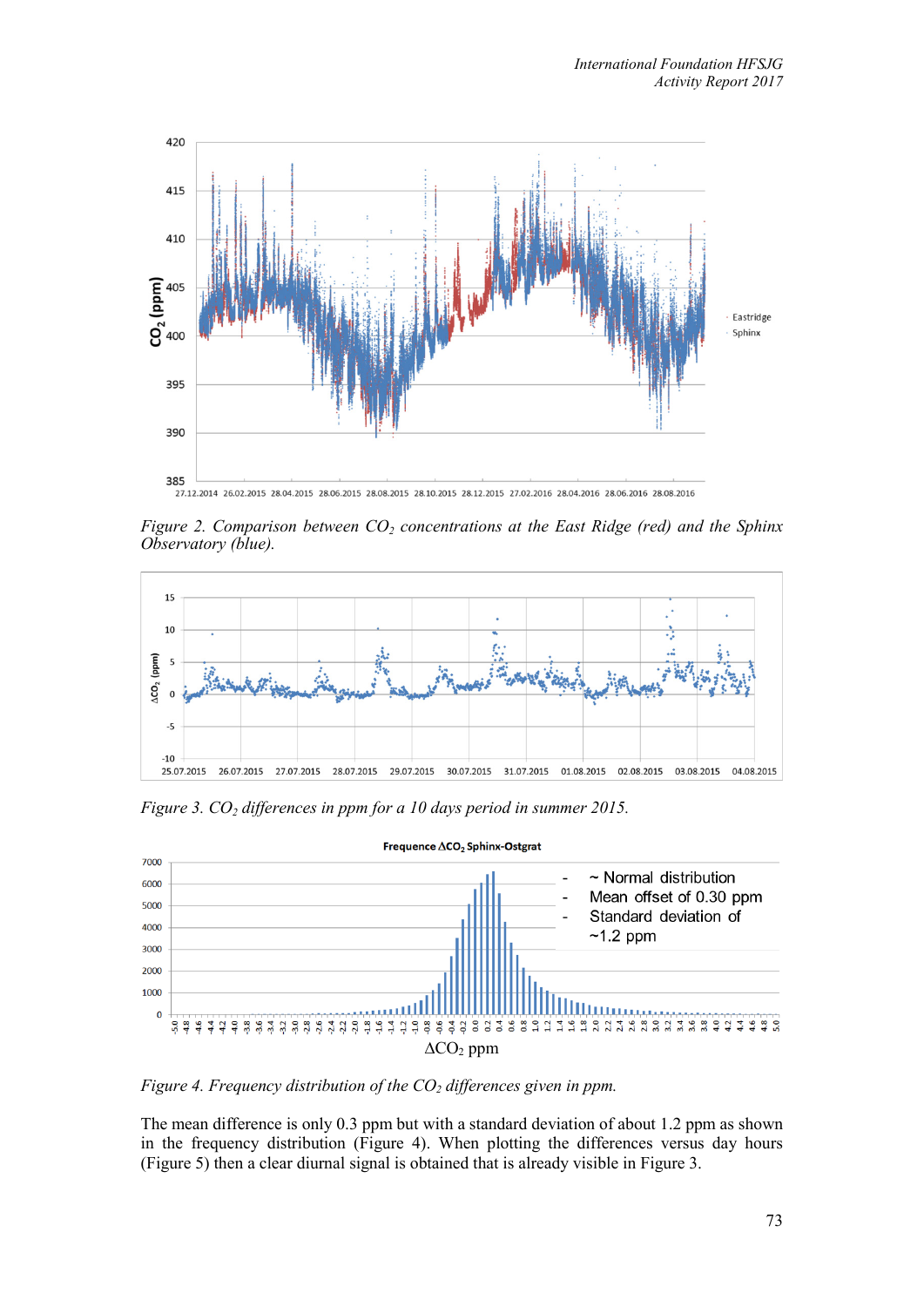

27.12.2014 26.02.2015 28.04.2015 28.06.2015 28.08.2015 28.10.2015 28.12.2015 27.02.2016 28.04.2016 28.06.2016 28.08.2016

*Figure 2. Comparison between CO2 concentrations at the East Ridge (red) and the Sphinx Observatory (blue).*



*Figure 3. CO2 differences in ppm for a 10 days period in summer 2015.*



*Figure 4. Frequency distribution of the CO<sub>2</sub> differences given in ppm.* 

The mean difference is only 0.3 ppm but with a standard deviation of about 1.2 ppm as shown in the frequency distribution (Figure 4). When plotting the differences versus day hours (Figure 5) then a clear diurnal signal is obtained that is already visible in Figure 3.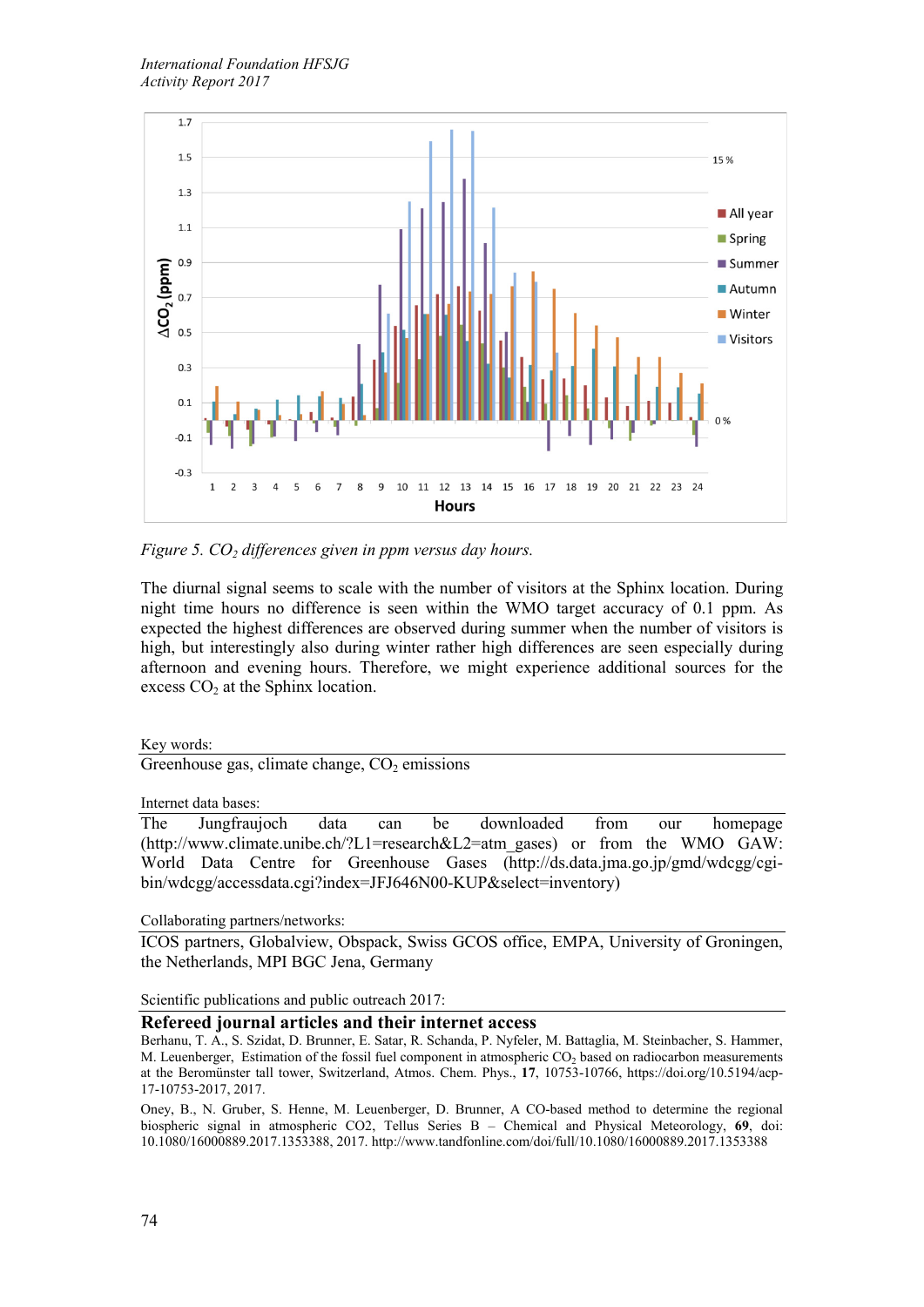

*Figure 5. CO<sub>2</sub> differences given in ppm versus day hours.* 

The diurnal signal seems to scale with the number of visitors at the Sphinx location. During night time hours no difference is seen within the WMO target accuracy of 0.1 ppm. As expected the highest differences are observed during summer when the number of visitors is high, but interestingly also during winter rather high differences are seen especially during afternoon and evening hours. Therefore, we might experience additional sources for the excess  $CO<sub>2</sub>$  at the Sphinx location.

## Key words:

Greenhouse gas, climate change,  $CO<sub>2</sub>$  emissions

Internet data bases:

The Jungfraujoch data can be downloaded from our homepage (http://www.climate.unibe.ch/?L1=research&L2=atm\_gases) or from the WMO GAW: World Data Centre for Greenhouse Gases (http://ds.data.jma.go.jp/gmd/wdcgg/cgibin/wdcgg/accessdata.cgi?index=JFJ646N00-KUP&select=inventory)

Collaborating partners/networks:

ICOS partners, Globalview, Obspack, Swiss GCOS office, EMPA, University of Groningen, the Netherlands, MPI BGC Jena, Germany

Scientific publications and public outreach 2017:

## **Refereed journal articles and their internet access**

Berhanu, T. A., S. Szidat, D. Brunner, E. Satar, R. Schanda, P. Nyfeler, M. Battaglia, M. Steinbacher, S. Hammer, M. Leuenberger, Estimation of the fossil fuel component in atmospheric  $CO<sub>2</sub>$  based on radiocarbon measurements at the Beromünster tall tower, Switzerland, Atmos. Chem. Phys., **17**, 10753-10766, https://doi.org/10.5194/acp-17-10753-2017, 2017.

Oney, B., N. Gruber, S. Henne, M. Leuenberger, D. Brunner, A CO-based method to determine the regional biospheric signal in atmospheric CO2, Tellus Series B – Chemical and Physical Meteorology, **69**, doi: 10.1080/16000889.2017.1353388, 2017. http://www.tandfonline.com/doi/full/10.1080/16000889.2017.1353388